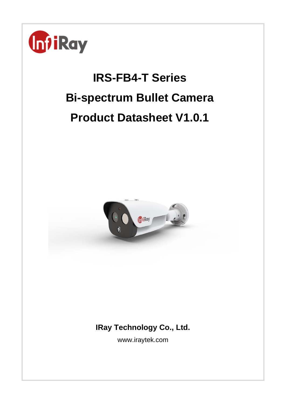

# **IRS-FB4-T Series Bi-spectrum Bullet Camera Product Datasheet V1.0.1**



# **IRay Technology Co., Ltd.**

www.iraytek.com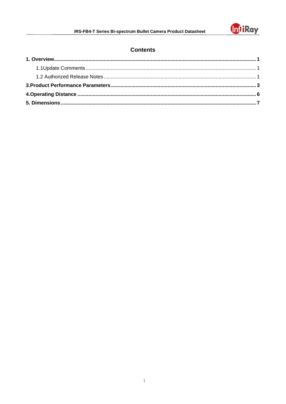

## **Contents**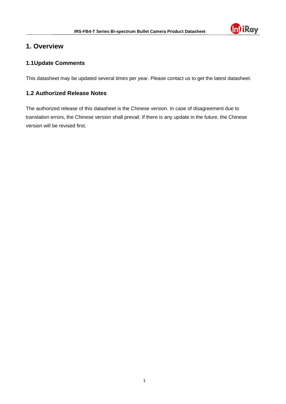

## <span id="page-2-0"></span>**1. Overview**

## <span id="page-2-1"></span>**1.1Update Comments**

This datasheet may be updated several times per year. Please contact us to get the latest datasheet.

## <span id="page-2-2"></span>**1.2 Authorized Release Notes**

The authorized release of this datasheet is the Chinese version. In case of disagreement due to translation errors, the Chinese version shall prevail. If there is any update in the future, the Chinese version will be revised first.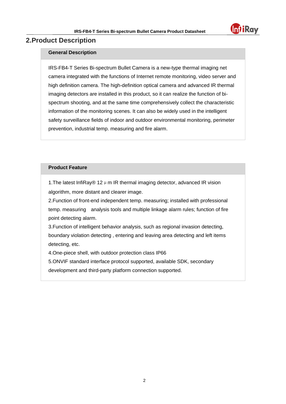

## **2.Product Description**

#### **General Description**

IRS-FB4-T Series Bi-spectrum Bullet Camera is a new-type thermal imaging net camera integrated with the functions of Internet remote monitoring, video server and high definition camera. The high-definition optical camera and advanced IR thermal imaging detectors are installed in this product, so it can realize the function of bispectrum shooting, and at the same time comprehensively collect the characteristic information of the monitoring scenes. It can also be widely used in the intelligent safety surveillance fields of indoor and outdoor environmental monitoring, perimeter prevention, industrial temp. measuring and fire alarm.

#### **Product Feature**

1. The latest InfiRay® 12  $\mu$  m IR thermal imaging detector, advanced IR vision algorithm, more distant and clearer image.

2.Function of front-end independent temp. measuring; installed with professional temp. measuring analysis tools and multiple linkage alarm rules; function of fire point detecting alarm.

3.Function of intelligent behavior analysis, such as regional invasion detecting, boundary violation detecting , entering and leaving area detecting and left items detecting, etc.

4.One-piece shell, with outdoor protection class IP66

5.ONVIF standard interface protocol supported, available SDK, secondary

development and third-party platform connection supported.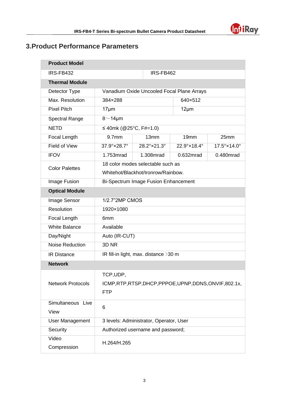

# <span id="page-4-0"></span>**3.Product Performance Parameters**

| <b>Product Model</b>     |                                                          |                                            |             |             |  |  |
|--------------------------|----------------------------------------------------------|--------------------------------------------|-------------|-------------|--|--|
| IRS-FB432                |                                                          | IRS-FB462                                  |             |             |  |  |
| <b>Thermal Module</b>    |                                                          |                                            |             |             |  |  |
| Detector Type            |                                                          | Vanadium Oxide Uncooled Focal Plane Arrays |             |             |  |  |
| Max. Resolution          | 384×288                                                  |                                            | 640×512     |             |  |  |
| <b>Pixel Pitch</b>       | $17 \mu m$                                               |                                            | $12 \mu m$  |             |  |  |
| <b>Spectral Range</b>    | $8 - 14 \mu m$                                           |                                            |             |             |  |  |
| <b>NETD</b>              | ≤ 40mk (@25°C, F#=1.0)                                   |                                            |             |             |  |  |
| Focal Length             | 9.7 <sub>mm</sub>                                        | 13mm                                       | 19mm        | 25mm        |  |  |
| <b>Field of View</b>     | $37.9^\circ \times 28.7^\circ$                           | 28.2°×21.3°                                | 22.9°×18.4° | 17.5°×14.0° |  |  |
| <b>IFOV</b>              | 1.753mrad                                                | 1.308mrad                                  | 0.632mrad   | 0.480mrad   |  |  |
| <b>Color Palettes</b>    | 18 color modes selectable such as                        |                                            |             |             |  |  |
|                          | Whitehot/Blackhot/Ironrow/Rainbow.                       |                                            |             |             |  |  |
| Image Fusion             | <b>Bi-Spectrum Image Fusion Enhancement</b>              |                                            |             |             |  |  |
| <b>Optical Module</b>    |                                                          |                                            |             |             |  |  |
| Image Sensor             | 1/2.7"2MP CMOS                                           |                                            |             |             |  |  |
| Resolution               | 1920×1080                                                |                                            |             |             |  |  |
| Focal Length             | 6 <sub>mm</sub>                                          |                                            |             |             |  |  |
| <b>White Balance</b>     | Available                                                |                                            |             |             |  |  |
| Day/Night                | Auto (IR-CUT)                                            |                                            |             |             |  |  |
| Noise Reduction          | 3D <sub>NR</sub>                                         |                                            |             |             |  |  |
| <b>IR Distance</b>       | IR fill-in light, max. distance >30 m                    |                                            |             |             |  |  |
| <b>Network</b>           |                                                          |                                            |             |             |  |  |
|                          | TCP,UDP                                                  |                                            |             |             |  |  |
| <b>Network Protocols</b> | ICMP, RTP, RTSP, DHCP, PPPOE, UPNP, DDNS, ONVIF, 802.1x, |                                            |             |             |  |  |
|                          | <b>FTP</b>                                               |                                            |             |             |  |  |
| Simultaneous Live        |                                                          |                                            |             |             |  |  |
| View                     | 6                                                        |                                            |             |             |  |  |
| <b>User Management</b>   | 3 levels: Administrator, Operator, User                  |                                            |             |             |  |  |
| Security                 | Authorized username and password;                        |                                            |             |             |  |  |
| Video                    | H.264/H.265                                              |                                            |             |             |  |  |
| Compression              |                                                          |                                            |             |             |  |  |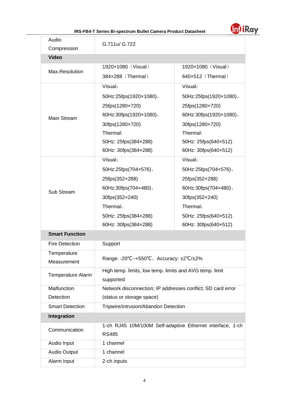

#### **IRS-FB4-T Series Bi-spectrum Bullet Camera Product Datasheet**

| Audio<br>Compression   | G.711u/ G.722                                                             |                        |  |  |
|------------------------|---------------------------------------------------------------------------|------------------------|--|--|
| <b>Video</b>           |                                                                           |                        |  |  |
| Max.Resolution         | 1920×1080 (Visual)                                                        | 1920×1080 (Visual)     |  |  |
|                        | 384×288 (Thermal)                                                         | 640×512 (Thermal)      |  |  |
|                        | Visual:                                                                   | Visual:                |  |  |
|                        | 50Hz:25fps(1920×1080)、                                                    | 50Hz:25fps(1920×1080)、 |  |  |
|                        | 25fps(1280×720)                                                           | 25fps(1280×720)        |  |  |
| Main Stream            | 60Hz:30fps(1920×1080).                                                    | 60Hz:30fps(1920×1080). |  |  |
|                        | 30fps(1280×720)                                                           | 30fps(1280×720)        |  |  |
|                        | Thermal:                                                                  | Thermal:               |  |  |
|                        | 50Hz: 25fps(384×288)                                                      | 50Hz: 25fps(640×512)   |  |  |
|                        | 60Hz: 30fps(384×288)                                                      | 60Hz: 30fps(640×512)   |  |  |
|                        | Visual:                                                                   | Visual:                |  |  |
|                        | 50Hz:25fps(704x576).                                                      | 50Hz:25fps(704×576)、   |  |  |
|                        | 25fps(352×288)                                                            | 25fps(352×288)         |  |  |
| Sub Stream             | 60Hz:30fps(704×480).                                                      | 60Hz:30fps(704×480).   |  |  |
|                        | 30fps(352×240)                                                            | 30fps(352×240)         |  |  |
|                        | Thermal:                                                                  | Thermal:               |  |  |
|                        | 50Hz: 25fps(384×288)                                                      | 50Hz: 25fps(640×512)   |  |  |
|                        | 60Hz: 30fps(384×288)                                                      | 60Hz: 30fps(640×512)   |  |  |
| <b>Smart Function</b>  |                                                                           |                        |  |  |
| <b>Fire Detection</b>  | Support                                                                   |                        |  |  |
| Temperature            | Range: -20°C~+550°C, Accuracy: ±2°C/±2%                                   |                        |  |  |
| Measurement            |                                                                           |                        |  |  |
| Temperature Alarm      | High temp. limits, low temp. limits and AVG temp. limit<br>supported      |                        |  |  |
| Malfunction            | Network disconnection; IP addresses conflict; SD card error               |                        |  |  |
| Detection              | (status or storage space)                                                 |                        |  |  |
| <b>Smart Detection</b> | Tripwire/intrusion/Abandon Detection                                      |                        |  |  |
| <b>Integration</b>     |                                                                           |                        |  |  |
| Communication          | 1-ch RJ45 10M/100M Self-adaptive Ethernet interface, 1-ch<br><b>RS485</b> |                        |  |  |
| Audio Input            | 1 channel                                                                 |                        |  |  |
| <b>Audio Output</b>    | 1 channel                                                                 |                        |  |  |
| Alarm Input            | 2-ch inputs                                                               |                        |  |  |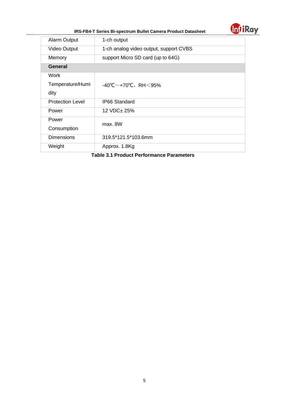

|  | IRS-FB4-T Series Bi-spectrum Bullet Camera Product Datasheet |  |
|--|--------------------------------------------------------------|--|
|  |                                                              |  |

| <b>Alarm Output</b>     | 1-ch output                                         |  |  |  |
|-------------------------|-----------------------------------------------------|--|--|--|
| <b>Video Output</b>     | 1-ch analog video output, support CVBS              |  |  |  |
| Memory                  | support Micro SD card (up to 64G)                   |  |  |  |
| <b>General</b>          |                                                     |  |  |  |
| Work                    |                                                     |  |  |  |
| Temperature/Humi        | $-40^{\circ}$ C $\sim$ +70 $^{\circ}$ C, RH $<$ 95% |  |  |  |
| dity                    |                                                     |  |  |  |
| <b>Protection Level</b> | <b>IP66 Standard</b>                                |  |  |  |
| Power                   | 12 VDC± 25%                                         |  |  |  |
| Power                   | max. 8W                                             |  |  |  |
| Consumption             |                                                     |  |  |  |
| <b>Dimensions</b>       | 319.5*121.5*103.6mm                                 |  |  |  |
| Weight                  | Approx. 1.8Kg                                       |  |  |  |
|                         |                                                     |  |  |  |

**Table 3.1 Product Performance Parameters**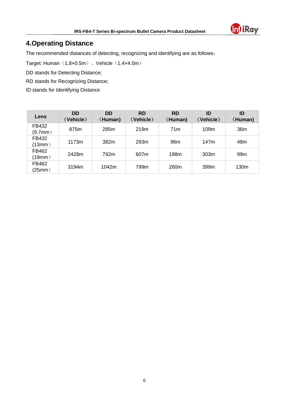

# <span id="page-7-0"></span>**4.Operating Distance**

The recommended distances of detecting, recognizing and identifying are as follows:

Target: Human (1.8×0.5m)、Vehicle (1.4×4.0m)

DD stands for Detecting Distance;

RD stands for Recognizing Distance;

ID stands for Identifying Distance

| Lens                   | <b>DD</b><br>(Vehicle) | <b>DD</b><br>(Human) | <b>RD</b><br>(Vehicle) | <b>RD</b><br>(Human) | ID<br>(Vehicle) | ID<br>(Human)   |
|------------------------|------------------------|----------------------|------------------------|----------------------|-----------------|-----------------|
| FB432<br>$(9.7$ mm $)$ | 875m                   | 285m                 | 219m                   | 71 <sub>m</sub>      | 109m            | 36m             |
| FB432<br>(13mm)        | 1173m                  | 382m                 | 293m                   | 96 <sub>m</sub>      | 147m            | 48m             |
| FB462<br>(19mm)        | 2428m                  | 792m                 | 607m                   | 198m                 | 303m            | 99 <sub>m</sub> |
| FB462<br>(25mm)        | 3194m                  | 1042m                | 799m                   | 260m                 | 399m            | 130m            |